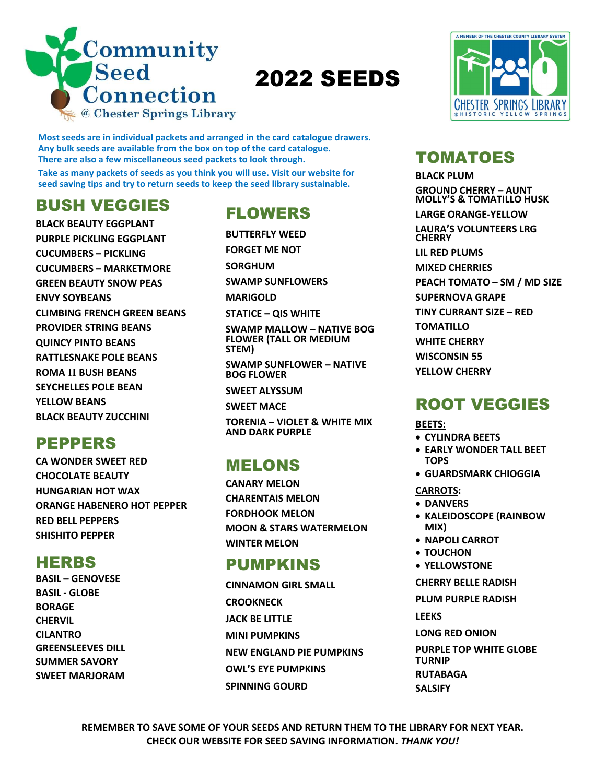

Most seeds are in individual packets and arranged in the card catalogue drawers. Any bulk seeds are available from the box on top of the card catalogue. There are also a few miscellaneous seed packets to look through.

Take as many packets of seeds as you think you will use. Visit our website for seed saving tips and try to return seeds to keep the seed library sustainable.

# BUSH VEGGIES

BLACK BEAUTY EGGPLANT PURPLE PICKLING EGGPLANT CUCUMBERS – PICKLING CUCUMBERS – MARKETMORE GREEN BEAUTY SNOW PEAS ENVY SOYBEANS CLIMBING FRENCH GREEN BEANS PROVIDER STRING BEANS QUINCY PINTO BEANS RATTLESNAKE POLE BEANS ROMA II BUSH BEANS SEYCHELLES POLE BEAN YELLOW BEANS BLACK BEAUTY ZUCCHINI

## PEPPERS

CA WONDER SWEET RED CHOCOLATE BEAUTY HUNGARIAN HOT WAX ORANGE HABENERO HOT PEPPER RED BELL PEPPERS SHISHITO PEPPER

## HERBS

BASIL – GENOVESE BASIL - GLOBE BORAGE CHERVIL CILANTRO GREENSLEEVES DILL SUMMER SAVORY SWEET MARJORAM

# FLOWERS

BUTTERFLY WEED

FORGET ME NOT SORGHUM

SWAMP SUNFLOWERS

MARIGOLD

STATICE – QIS WHITE

SWAMP MALLOW – NATIVE BOG FLOWER (TALL OR MEDIUM STEM)

SWAMP SUNFLOWER – NATIVE BOG FLOWER

SWEET ALYSSUM

SWEET MACE

TORENIA – VIOLET & WHITE MIX AND DARK PURPLE

# MELONS

CANARY MELON CHARENTAIS MELON FORDHOOK MELON MOON & STARS WATERMELON WINTER MELON

### PUMPKINS

CINNAMON GIRL SMALL **CROOKNECK** JACK BE LITTLE MINI PUMPKINS NEW ENGLAND PIE PUMPKINS OWL'S EYE PUMPKINS SPINNING GOURD



# TOMATOES

BLACK PLUM GROUND CHERRY – AUNT MOLLY'S & TOMATILLO HUSK LARGE ORANGE-YELLOW LAURA'S VOLUNTEERS LRG **CHERRY** LIL RED PLUMS MIXED CHERRIES PEACH TOMATO – SM / MD SIZE SUPERNOVA GRAPE TINY CURRANT SIZE – RED TOMATILLO WHITE CHERRY WISCONSIN 55 YELLOW CHERRY

# ROOT VEGGIES

BEETS:

- CYLINDRA BEETS
- EARLY WONDER TALL BEET TOPS
- GUARDSMARK CHIOGGIA
- CARROTS:
- DANVERS
- KALEIDOSCOPE (RAINBOW MIX)
- NAPOLI CARROT
- TOUCHON
- YELLOWSTONE
- CHERRY BELLE RADISH
- PLUM PURPLE RADISH

LEEKS

- LONG RED ONION
- PURPLE TOP WHITE GLOBE TURNIP
- RUTABAGA
- SALSIFY